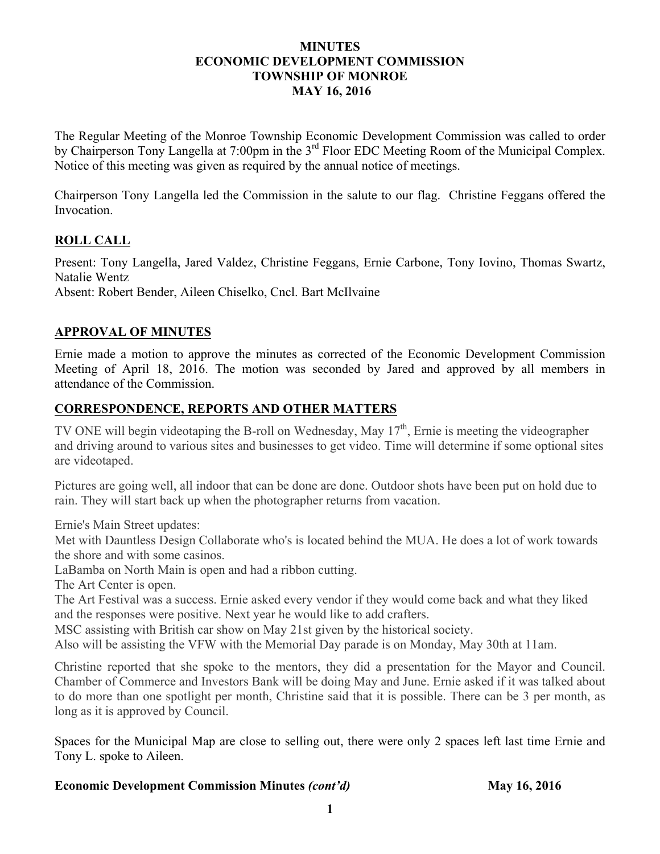#### **MINUTES ECONOMIC DEVELOPMENT COMMISSION TOWNSHIP OF MONROE MAY 16, 2016**

The Regular Meeting of the Monroe Township Economic Development Commission was called to order by Chairperson Tony Langella at 7:00pm in the 3<sup>rd</sup> Floor EDC Meeting Room of the Municipal Complex. Notice of this meeting was given as required by the annual notice of meetings.

Chairperson Tony Langella led the Commission in the salute to our flag. Christine Feggans offered the Invocation.

# **ROLL CALL**

Present: Tony Langella, Jared Valdez, Christine Feggans, Ernie Carbone, Tony Iovino, Thomas Swartz, Natalie Wentz Absent: Robert Bender, Aileen Chiselko, Cncl. Bart McIlvaine

# **APPROVAL OF MINUTES**

Ernie made a motion to approve the minutes as corrected of the Economic Development Commission Meeting of April 18, 2016. The motion was seconded by Jared and approved by all members in attendance of the Commission.

# **CORRESPONDENCE, REPORTS AND OTHER MATTERS**

TV ONE will begin videotaping the B-roll on Wednesday, May 17<sup>th</sup>, Ernie is meeting the videographer and driving around to various sites and businesses to get video. Time will determine if some optional sites are videotaped.

Pictures are going well, all indoor that can be done are done. Outdoor shots have been put on hold due to rain. They will start back up when the photographer returns from vacation.

Ernie's Main Street updates:

Met with Dauntless Design Collaborate who's is located behind the MUA. He does a lot of work towards the shore and with some casinos.

LaBamba on North Main is open and had a ribbon cutting.

The Art Center is open.

The Art Festival was a success. Ernie asked every vendor if they would come back and what they liked and the responses were positive. Next year he would like to add crafters.

MSC assisting with British car show on May 21st given by the historical society.

Also will be assisting the VFW with the Memorial Day parade is on Monday, May 30th at 11am.

Christine reported that she spoke to the mentors, they did a presentation for the Mayor and Council. Chamber of Commerce and Investors Bank will be doing May and June. Ernie asked if it was talked about to do more than one spotlight per month, Christine said that it is possible. There can be 3 per month, as long as it is approved by Council.

Spaces for the Municipal Map are close to selling out, there were only 2 spaces left last time Ernie and Tony L. spoke to Aileen.

### **Economic Development Commission Minutes** *(cont'd)* **May 16, 2016**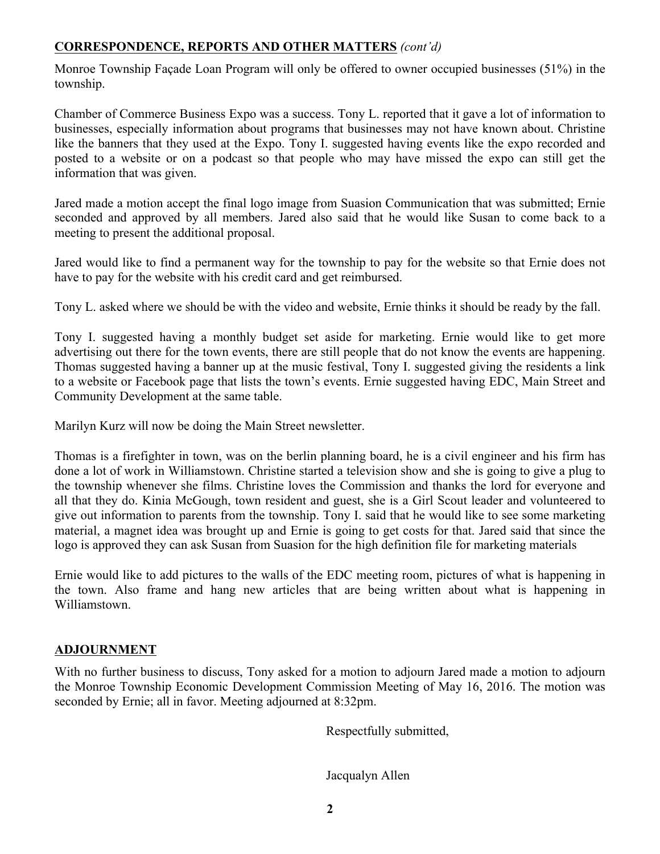# **CORRESPONDENCE, REPORTS AND OTHER MATTERS** *(cont'd)*

Monroe Township Façade Loan Program will only be offered to owner occupied businesses (51%) in the township.

Chamber of Commerce Business Expo was a success. Tony L. reported that it gave a lot of information to businesses, especially information about programs that businesses may not have known about. Christine like the banners that they used at the Expo. Tony I. suggested having events like the expo recorded and posted to a website or on a podcast so that people who may have missed the expo can still get the information that was given.

Jared made a motion accept the final logo image from Suasion Communication that was submitted; Ernie seconded and approved by all members. Jared also said that he would like Susan to come back to a meeting to present the additional proposal.

Jared would like to find a permanent way for the township to pay for the website so that Ernie does not have to pay for the website with his credit card and get reimbursed.

Tony L. asked where we should be with the video and website, Ernie thinks it should be ready by the fall.

Tony I. suggested having a monthly budget set aside for marketing. Ernie would like to get more advertising out there for the town events, there are still people that do not know the events are happening. Thomas suggested having a banner up at the music festival, Tony I. suggested giving the residents a link to a website or Facebook page that lists the town's events. Ernie suggested having EDC, Main Street and Community Development at the same table.

Marilyn Kurz will now be doing the Main Street newsletter.

Thomas is a firefighter in town, was on the berlin planning board, he is a civil engineer and his firm has done a lot of work in Williamstown. Christine started a television show and she is going to give a plug to the township whenever she films. Christine loves the Commission and thanks the lord for everyone and all that they do. Kinia McGough, town resident and guest, she is a Girl Scout leader and volunteered to give out information to parents from the township. Tony I. said that he would like to see some marketing material, a magnet idea was brought up and Ernie is going to get costs for that. Jared said that since the logo is approved they can ask Susan from Suasion for the high definition file for marketing materials

Ernie would like to add pictures to the walls of the EDC meeting room, pictures of what is happening in the town. Also frame and hang new articles that are being written about what is happening in Williamstown.

# **ADJOURNMENT**

With no further business to discuss, Tony asked for a motion to adjourn Jared made a motion to adjourn the Monroe Township Economic Development Commission Meeting of May 16, 2016. The motion was seconded by Ernie; all in favor. Meeting adjourned at 8:32pm.

Respectfully submitted,

Jacqualyn Allen